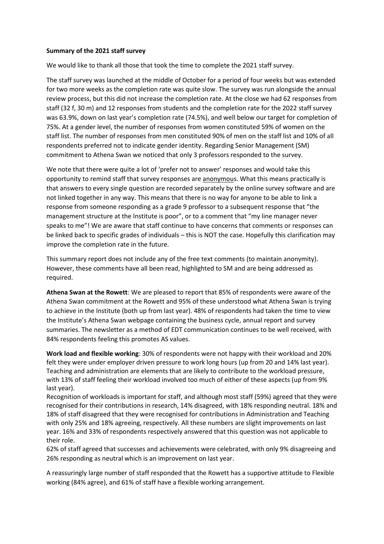## **Summary of the 2021 staff survey**

We would like to thank all those that took the time to complete the 2021 staff survey.

The staff survey was launched at the middle of October for a period of four weeks but was extended for two more weeks as the completion rate was quite slow. The survey was run alongside the annual review process, but this did not increase the completion rate. At the close we had 62 responses from staff (32 f, 30 m) and 12 responses from students and the completion rate for the 2022 staff survey was 63.9%, down on last year's completion rate (74.5%), and well below our target for completion of 75%. At a gender level, the number of responses from women constituted 59% of women on the staff list. The number of responses from men constituted 90% of men on the staff list and 10% of all respondents preferred not to indicate gender identity. Regarding Senior Management (SM) commitment to Athena Swan we noticed that only 3 professors responded to the survey.

We note that there were quite a lot of 'prefer not to answer' responses and would take this opportunity to remind staff that survey responses are anonymous. What this means practically is that answers to every single question are recorded separately by the online survey software and are not linked together in any way. This means that there is no way for anyone to be able to link a response from someone responding as a grade 9 professor to a subsequent response that "the management structure at the Institute is poor", or to a comment that "my line manager never speaks to me"! We are aware that staff continue to have concerns that comments or responses can be linked back to specific grades of individuals – this is NOT the case. Hopefully this clarification may improve the completion rate in the future.

This summary report does not include any of the free text comments (to maintain anonymity). However, these comments have all been read, highlighted to SM and are being addressed as required.

**Athena Swan at the Rowett**: We are pleased to report that 85% of respondents were aware of the Athena Swan commitment at the Rowett and 95% of these understood what Athena Swan is trying to achieve in the Institute (both up from last year). 48% of respondents had taken the time to view the Institute's Athena Swan webpage containing the business cycle, annual report and survey summaries. The newsletter as a method of EDT communication continues to be well received, with 84% respondents feeling this promotes AS values.

**Work load and flexible working**: 30% of respondents were not happy with their workload and 20% felt they were under employer driven pressure to work long hours (up from 20 and 14% last year). Teaching and administration are elements that are likely to contribute to the workload pressure, with 13% of staff feeling their workload involved too much of either of these aspects (up from 9% last year).

Recognition of workloads is important for staff, and although most staff (59%) agreed that they were recognised for their contributions in research, 14% disagreed, with 18% responding neutral. 18% and 18% of staff disagreed that they were recognised for contributions in Administration and Teaching with only 25% and 18% agreeing, respectively. All these numbers are slight improvements on last year. 16% and 33% of respondents respectively answered that this question was not applicable to their role.

62% of staff agreed that successes and achievements were celebrated, with only 9% disagreeing and 26% responding as neutral which is an improvement on last year.

A reassuringly large number of staff responded that the Rowett has a supportive attitude to Flexible working (84% agree), and 61% of staff have a flexible working arrangement.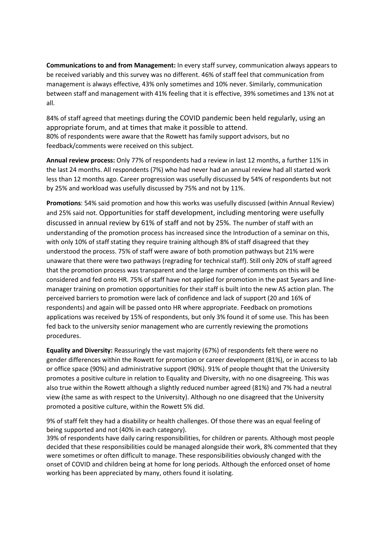**Communications to and from Management:** In every staff survey, communication always appears to be received variably and this survey was no different. 46% of staff feel that communication from management is always effective, 43% only sometimes and 10% never. Similarly, communication between staff and management with 41% feeling that it is effective, 39% sometimes and 13% not at all.

84% of staff agreed that meetings during the COVID pandemic been held regularly, using an appropriate forum, and at times that make it possible to attend. 80% of respondents were aware that the Rowett has family support advisors, but no feedback/comments were received on this subject.

**Annual review process:** Only 77% of respondents had a review in last 12 months, a further 11% in the last 24 months. All respondents (7%) who had never had an annual review had all started work less than 12 months ago. Career progression was usefully discussed by 54% of respondents but not by 25% and workload was usefully discussed by 75% and not by 11%.

**Promotions**: 54% said promotion and how this works was usefully discussed (within Annual Review) and 25% said not. Opportunities for staff development, including mentoring were usefully discussed in annual review by 61% of staff and not by 25%. The number of staff with an understanding of the promotion process has increased since the Introduction of a seminar on this, with only 10% of staff stating they require training although 8% of staff disagreed that they understood the process. 75% of staff were aware of both promotion pathways but 21% were unaware that there were two pathways (regrading for technical staff). Still only 20% of staff agreed that the promotion process was transparent and the large number of comments on this will be considered and fed onto HR. 75% of staff have not applied for promotion in the past 5years and linemanager training on promotion opportunities for their staff is built into the new AS action plan. The perceived barriers to promotion were lack of confidence and lack of support (20 and 16% of respondents) and again will be passed onto HR where appropriate. Feedback on promotions applications was received by 15% of respondents, but only 3% found it of some use. This has been fed back to the university senior management who are currently reviewing the promotions procedures.

**Equality and Diversity:** Reassuringly the vast majority (67%) of respondents felt there were no gender differences within the Rowett for promotion or career development (81%), or in access to lab or office space (90%) and administrative support (90%). 91% of people thought that the University promotes a positive culture in relation to Equality and Diversity, with no one disagreeing. This was also true within the Rowett although a slightly reduced number agreed (81%) and 7% had a neutral view (the same as with respect to the University). Although no one disagreed that the University promoted a positive culture, within the Rowett 5% did.

9% of staff felt they had a disability or health challenges. Of those there was an equal feeling of being supported and not (40% in each category).

39% of respondents have daily caring responsibilities, for children or parents. Although most people decided that these responsibilities could be managed alongside their work, 8% commented that they were sometimes or often difficult to manage. These responsibilities obviously changed with the onset of COVID and children being at home for long periods. Although the enforced onset of home working has been appreciated by many, others found it isolating.